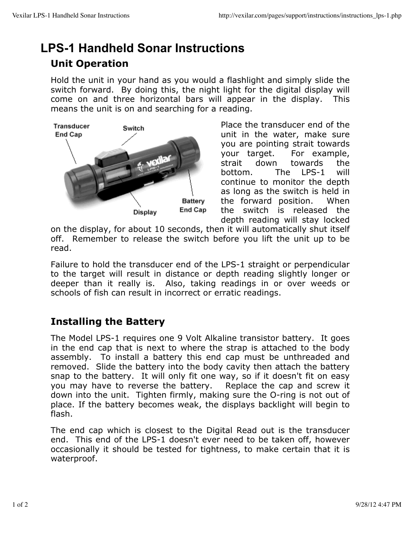## **LPS-1 Handheld Sonar Instructions Unit Operation**

Hold the unit in your hand as you would a flashlight and simply slide the switch forward. By doing this, the night light for the digital display will come on and three horizontal bars will appear in the display. This means the unit is on and searching for a reading.



Place the transducer end of the unit in the water, make sure you are pointing strait towards your target. For example, strait down towards the bottom. The LPS-1 will continue to monitor the depth as long as the switch is held in the forward position. When the switch is released the depth reading will stay locked

on the display, for about 10 seconds, then it will automatically shut itself off. Remember to release the switch before you lift the unit up to be read.

Failure to hold the transducer end of the LPS-1 straight or perpendicular to the target will result in distance or depth reading slightly longer or deeper than it really is. Also, taking readings in or over weeds or schools of fish can result in incorrect or erratic readings.

## **Installing the Battery**

The Model LPS-1 requires one 9 Volt Alkaline transistor battery. It goes in the end cap that is next to where the strap is attached to the body assembly. To install a battery this end cap must be unthreaded and removed. Slide the battery into the body cavity then attach the battery snap to the battery. It will only fit one way, so if it doesn't fit on easy you may have to reverse the battery. Replace the cap and screw it down into the unit. Tighten firmly, making sure the O-ring is not out of place. If the battery becomes weak, the displays backlight will begin to flash.

The end cap which is closest to the Digital Read out is the transducer end. This end of the LPS-1 doesn't ever need to be taken off, however occasionally it should be tested for tightness, to make certain that it is waterproof.